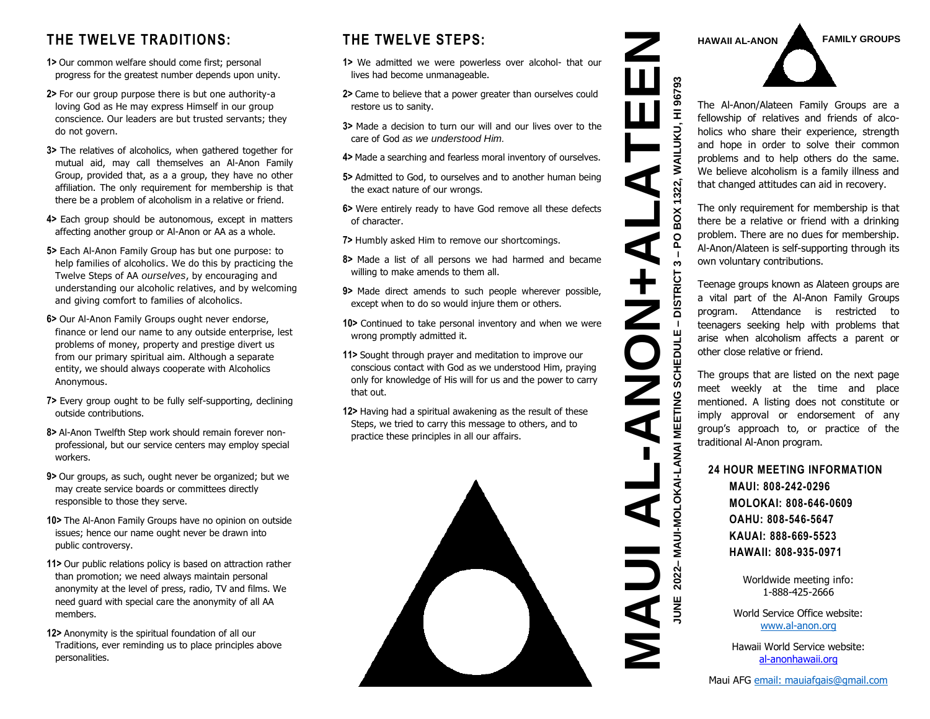#### **THE TWELVE TRADITIONS:**

- **1>** Our common welfare should come first; personal progress for the greatest number depends upon unity.
- **2>** For our group purpose there is but one authority-a loving God as He may express Himself in our group conscience. Our leaders are but trusted servants; they do not govern.
- **3>** The relatives of alcoholics, when gathered together for mutual aid, may call themselves an Al-Anon Family Group, provided that, as a a group, they have no other affiliation. The only requirement for membership is that there be a problem of alcoholism in a relative or friend.
- **4>** Each group should be autonomous, except in matters affecting another group or Al-Anon or AA as a whole.
- **5>** Each Al-Anon Family Group has but one purpose: to help families of alcoholics. We do this by practicing the Twelve Steps of AA *ourselves*, by encouraging and understanding our alcoholic relatives, and by welcoming and giving comfort to families of alcoholics.
- **6>** Our Al-Anon Family Groups ought never endorse, finance or lend our name to any outside enterprise, lest problems of money, property and prestige divert us from our primary spiritual aim. Although a separate entity, we should always cooperate with Alcoholics Anonymous.
- **7>** Every group ought to be fully self-supporting, declining outside contributions.
- **8>** Al-Anon Twelfth Step work should remain forever nonprofessional, but our service centers may employ special workers.
- **9>** Our groups, as such, ought never be organized; but we may create service boards or committees directly responsible to those they serve.
- **10>** The Al-Anon Family Groups have no opinion on outside issues; hence our name ought never be drawn into public controversy.
- **11>** Our public relations policy is based on attraction rather than promotion; we need always maintain personal anonymity at the level of press, radio, TV and films. We need guard with special care the anonymity of all AA members.
- **12>** Anonymity is the spiritual foundation of all our Traditions, ever reminding us to place principles above personalities.

#### **THE TWELVE STEPS:**

- **1>** We admitted we were powerless over alcohol- that our lives had become unmanageable.
- **2>** Came to believe that a power greater than ourselves could restore us to sanity.
- **3>** Made a decision to turn our will and our lives over to the care of God *as we understood Him.*
- **4>** Made a searching and fearless moral inventory of ourselves.
- **5>** Admitted to God, to ourselves and to another human being the exact nature of our wrongs.
- **6>** Were entirely ready to have God remove all these defects of character.
- **7>** Humbly asked Him to remove our shortcomings.
- **8>** Made a list of all persons we had harmed and became willing to make amends to them all.
- **9>** Made direct amends to such people wherever possible, except when to do so would injure them or others.
- **10>** Continued to take personal inventory and when we were wrong promptly admitted it.
- **11>** Sought through prayer and meditation to improve our conscious contact with God as we understood Him, praying only for knowledge of His will for us and the power to carry that out.
- **12>** Having had a spiritual awakening as the result of these Steps, we tried to carry this message to others, and to practice these principles in all our affairs.





The Al-Anon/Alateen Family Groups are a fellowship of relatives and friends of alcoholics who share their experience, strength and hope in order to solve their common problems and to help others do the same. We believe alcoholism is a family illness and that changed attitudes can aid in recovery.

The only requirement for membership is that there be a relative or friend with a drinking problem. There are no dues for membership. Al-Anon/Alateen is self-supporting through its own voluntary contributions.

Teenage groups known as Alateen groups are a vital part of the Al-Anon Family Groups program. Attendance is restricted to teenagers seeking help with problems that arise when alcoholism affects a parent or other close relative or friend.

The groups that are listed on the next page meet weekly at the time and place mentioned. A listing does not constitute or imply approval or endorsement of any group's approach to, or practice of the traditional Al-Anon program.

#### **24 HOUR MEETING INFORMATION**

**MAUI: 808-242-0296 MOLOKAI: 808-646-0609 OAHU: 808-546-5647 KAUAI: 888-669-5523 HAWAII: 808-935-0971**

**MAUI-MOLOKAI-LANAI** 

**JUNE 2022– MAUI-MOLOKAI-LANAI MEETING SCHEDULE** 

**– DISTRICT 3** 

**STRICT** ã

MEETING SCHEDUL

BOX 1322,

**Q**  $\mathbf{I}$ S

 $\blacksquare$ 

Worldwide meeting info: 1-888-425-2666

World Service Office website: [www.al-anon.org](http://www.al-anon.org/)

Hawaii World Service website: [al-anonhawaii.org](http://al-anonhawaii.org/)